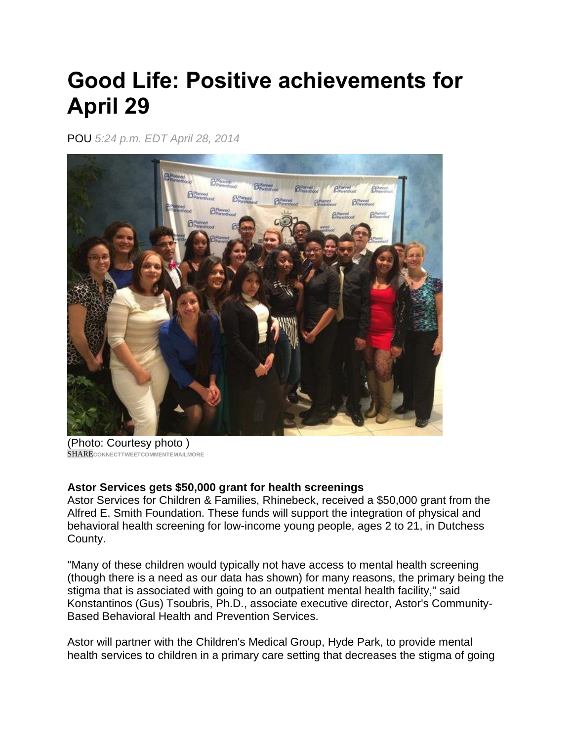## **Good Life: Positive achievements for April 29**

POU *5:24 p.m. EDT April 28, 2014*



(Photo: Courtesy photo ) SHARE**CONNEC[TTWEETC](https://twitter.com/intent/tweet?url=http://pojonews.co/1m2sAKv&text=Good%20Life:%20Positive%20achievements%20for%20April%2029&via=pokjournal)OMMENTEMAILMORE**

## **Astor Services gets \$50,000 grant for health screenings**

Astor Services for Children & Families, Rhinebeck, received a \$50,000 grant from the Alfred E. Smith Foundation. These funds will support the integration of physical and behavioral health screening for low-income young people, ages 2 to 21, in Dutchess County.

"Many of these children would typically not have access to mental health screening (though there is a need as our data has shown) for many reasons, the primary being the stigma that is associated with going to an outpatient mental health facility," said Konstantinos (Gus) Tsoubris, Ph.D., associate executive director, Astor's Community-Based Behavioral Health and Prevention Services.

Astor will partner with the Children's Medical Group, Hyde Park, to provide mental health services to children in a primary care setting that decreases the stigma of going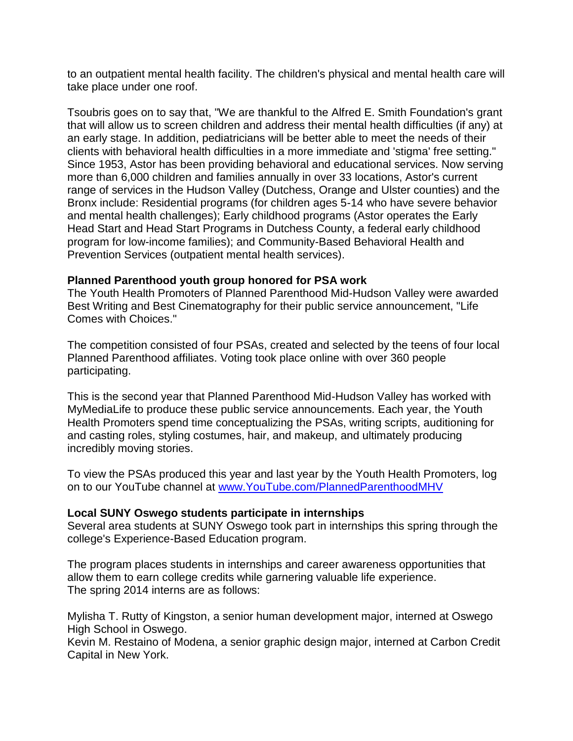to an outpatient mental health facility. The children's physical and mental health care will take place under one roof.

Tsoubris goes on to say that, "We are thankful to the Alfred E. Smith Foundation's grant that will allow us to screen children and address their mental health difficulties (if any) at an early stage. In addition, pediatricians will be better able to meet the needs of their clients with behavioral health difficulties in a more immediate and 'stigma' free setting." Since 1953, Astor has been providing behavioral and educational services. Now serving more than 6,000 children and families annually in over 33 locations, Astor's current range of services in the Hudson Valley (Dutchess, Orange and Ulster counties) and the Bronx include: Residential programs (for children ages 5-14 who have severe behavior and mental health challenges); Early childhood programs (Astor operates the Early Head Start and Head Start Programs in Dutchess County, a federal early childhood program for low-income families); and Community-Based Behavioral Health and Prevention Services (outpatient mental health services).

## **Planned Parenthood youth group honored for PSA work**

The Youth Health Promoters of Planned Parenthood Mid-Hudson Valley were awarded Best Writing and Best Cinematography for their public service announcement, "Life Comes with Choices."

The competition consisted of four PSAs, created and selected by the teens of four local Planned Parenthood affiliates. Voting took place online with over 360 people participating.

This is the second year that Planned Parenthood Mid-Hudson Valley has worked with MyMediaLife to produce these public service announcements. Each year, the Youth Health Promoters spend time conceptualizing the PSAs, writing scripts, auditioning for and casting roles, styling costumes, hair, and makeup, and ultimately producing incredibly moving stories.

To view the PSAs produced this year and last year by the Youth Health Promoters, log on to our YouTube channel at [www.YouTube.com/PlannedParenthoodMHV](http://www.youtube.com/PlannedParenthoodMHV)

## **Local SUNY Oswego students participate in internships**

Several area students at SUNY Oswego took part in internships this spring through the college's Experience-Based Education program.

The program places students in internships and career awareness opportunities that allow them to earn college credits while garnering valuable life experience. The spring 2014 interns are as follows:

Mylisha T. Rutty of Kingston, a senior human development major, interned at Oswego High School in Oswego.

Kevin M. Restaino of Modena, a senior graphic design major, interned at Carbon Credit Capital in New York.